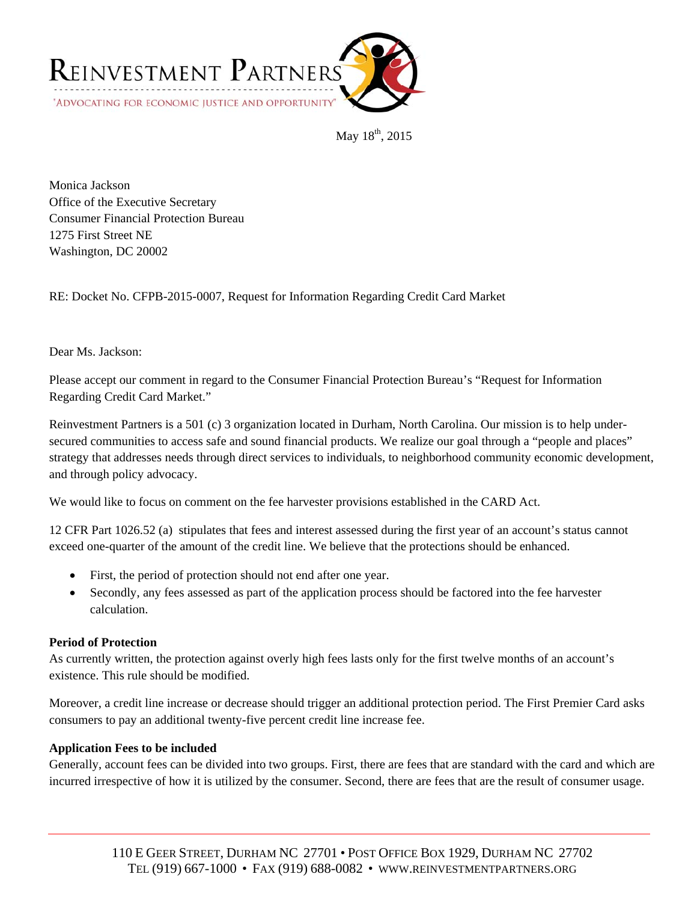

May 18<sup>th</sup>, 2015

Monica Jackson Office of the Executive Secretary Consumer Financial Protection Bureau 1275 First Street NE Washington, DC 20002

RE: Docket No. CFPB-2015-0007, Request for Information Regarding Credit Card Market

## Dear Ms. Jackson:

Please accept our comment in regard to the Consumer Financial Protection Bureau's "Request for Information Regarding Credit Card Market."

Reinvestment Partners is a 501 (c) 3 organization located in Durham, North Carolina. Our mission is to help undersecured communities to access safe and sound financial products. We realize our goal through a "people and places" strategy that addresses needs through direct services to individuals, to neighborhood community economic development, and through policy advocacy.

We would like to focus on comment on the fee harvester provisions established in the CARD Act.

12 CFR Part 1026.52 (a) stipulates that fees and interest assessed during the first year of an account's status cannot exceed one-quarter of the amount of the credit line. We believe that the protections should be enhanced.

- First, the period of protection should not end after one year.
- Secondly, any fees assessed as part of the application process should be factored into the fee harvester calculation.

## **Period of Protection**

As currently written, the protection against overly high fees lasts only for the first twelve months of an account's existence. This rule should be modified.

Moreover, a credit line increase or decrease should trigger an additional protection period. The First Premier Card asks consumers to pay an additional twenty-five percent credit line increase fee.

## **Application Fees to be included**

Generally, account fees can be divided into two groups. First, there are fees that are standard with the card and which are incurred irrespective of how it is utilized by the consumer. Second, there are fees that are the result of consumer usage.